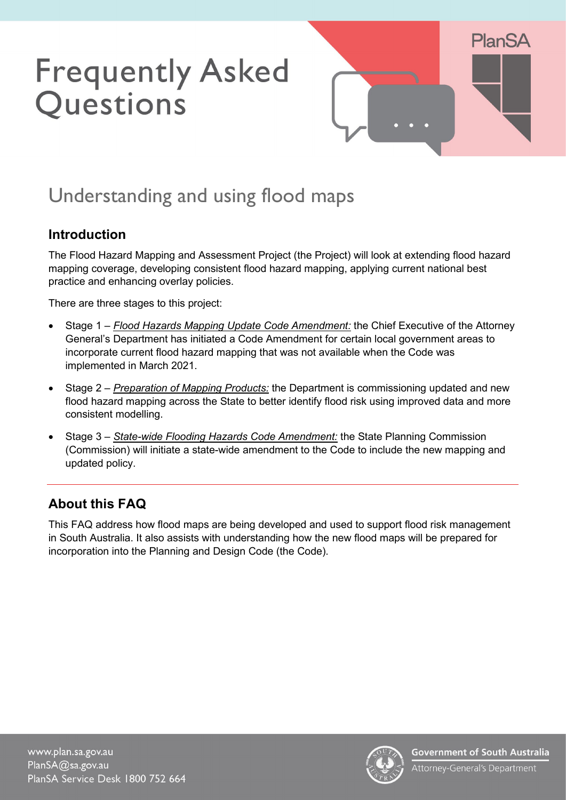# **Frequently Asked** Questions



# Understanding and using flood maps

# **Introduction**

The Flood Hazard Mapping and Assessment Project (the Project) will look at extending flood hazard mapping coverage, developing consistent flood hazard mapping, applying current national best practice and enhancing overlay policies.

There are three stages to this project:

- Stage 1 *Flood Hazards Mapping Update Code Amendment:* the Chief Executive of the Attorney General's Department has initiated a Code Amendment for certain local government areas to incorporate current flood hazard mapping that was not available when the Code was implemented in March 2021.
- Stage 2 *Preparation of Mapping Products:* the Department is commissioning updated and new flood hazard mapping across the State to better identify flood risk using improved data and more consistent modelling.
- Stage 3 *State-wide Flooding Hazards Code Amendment:* the State Planning Commission (Commission) will initiate a state-wide amendment to the Code to include the new mapping and updated policy.

# **About this FAQ**

This FAQ address how flood maps are being developed and used to support flood risk management in South Australia. It also assists with understanding how the new flood maps will be prepared for incorporation into the Planning and Design Code (the Code).

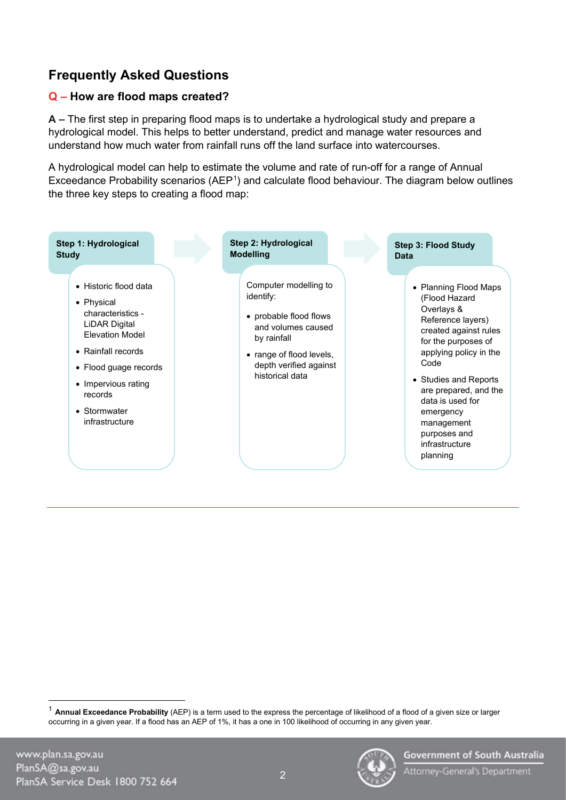# **Frequently Asked Questions**

#### **Q – How are flood maps created?**

**A –** The first step in preparing flood maps is to undertake a hydrological study and prepare a hydrological model. This helps to better understand, predict and manage water resources and understand how much water from rainfall runs off the land surface into watercourses.

A hydrological model can help to estimate the volume and rate of run-off for a range of Annual Exceedance Probability scenarios (AEP<sup>[1](#page-1-0)</sup>) and calculate flood behaviour. The diagram below outlines the three key steps to creating a flood map:



2



<span id="page-1-0"></span><sup>1</sup> **Annual Exceedance Probability** (AEP) is a term used to the express the percentage of likelihood of a flood of a given size or larger occurring in a given year. If a flood has an AEP of 1%, it has a one in 100 likelihood of occurring in any given year.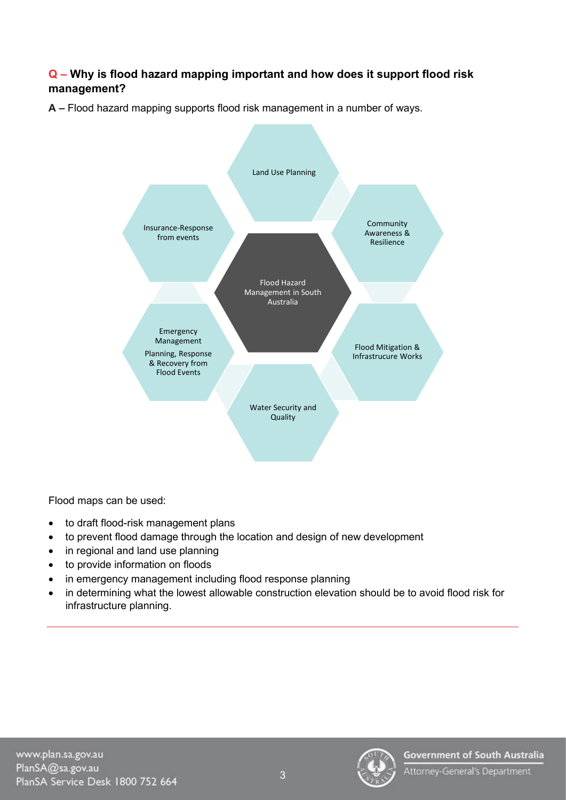#### **Q – Why is flood hazard mapping important and how does it support flood risk management?**

**A –** Flood hazard mapping supports flood risk management in a number of ways.



Flood maps can be used:

- to draft flood-risk management plans
- to prevent flood damage through the location and design of new development
- in regional and land use planning
- to provide information on floods
- in emergency management including flood response planning
- in determining what the lowest allowable construction elevation should be to avoid flood risk for infrastructure planning.

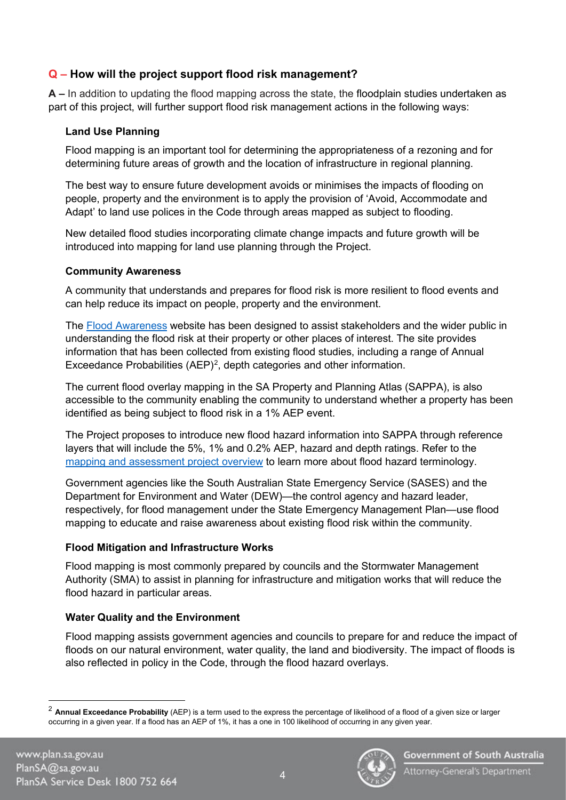#### **Q – How will the project support flood risk management?**

**A –** In addition to updating the flood mapping across the state, the floodplain studies undertaken as part of this project, will further support flood risk management actions in the following ways:

#### **Land Use Planning**

Flood mapping is an important tool for determining the appropriateness of a rezoning and for determining future areas of growth and the location of infrastructure in regional planning.

The best way to ensure future development avoids or minimises the impacts of flooding on people, property and the environment is to apply the provision of 'Avoid, Accommodate and Adapt' to land use polices in the Code through areas mapped as subject to flooding.

New detailed flood studies incorporating climate change impacts and future growth will be introduced into mapping for land use planning through the Project.

#### **Community Awareness**

A community that understands and prepares for flood risk is more resilient to flood events and can help reduce its impact on people, property and the environment.

The [Flood Awareness](https://www.waterconnect.sa.gov.au/Hazard-Management/Flood-Awareness/SitePages/Home.aspx) website has been designed to assist stakeholders and the wider public in understanding the flood risk at their property or other places of interest. The site provides information that has been collected from existing flood studies, including a range of Annual Exceedance Probabilities  $(AEP)^2$  $(AEP)^2$ , depth categories and other information.

The current flood overlay mapping in the SA Property and Planning Atlas (SAPPA), is also accessible to the community enabling the community to understand whether a property has been identified as being subject to flood risk in a 1% AEP event.

The Project proposes to introduce new flood hazard information into SAPPA through reference layers that will include the 5%, 1% and 0.2% AEP, hazard and depth ratings. Refer to the [mapping and assessment project overview](https://plan.sa.gov.au/__data/assets/pdf_file/0020/1002368/Flood_hazard_mapping_and_assessment_project_-_Brochure.pdf) to learn more about flood hazard terminology.

Government agencies like the South Australian State Emergency Service (SASES) and the Department for Environment and Water (DEW)—the control agency and hazard leader, respectively, for flood management under the State Emergency Management Plan—use flood mapping to educate and raise awareness about existing flood risk within the community.

#### **Flood Mitigation and Infrastructure Works**

Flood mapping is most commonly prepared by councils and the Stormwater Management Authority (SMA) to assist in planning for infrastructure and mitigation works that will reduce the flood hazard in particular areas.

#### **Water Quality and the Environment**

Flood mapping assists government agencies and councils to prepare for and reduce the impact of floods on our natural environment, water quality, the land and biodiversity. The impact of floods is also reflected in policy in the Code, through the flood hazard overlays.



<span id="page-3-0"></span><sup>2</sup> **Annual Exceedance Probability** (AEP) is a term used to the express the percentage of likelihood of a flood of a given size or larger occurring in a given year. If a flood has an AEP of 1%, it has a one in 100 likelihood of occurring in any given year.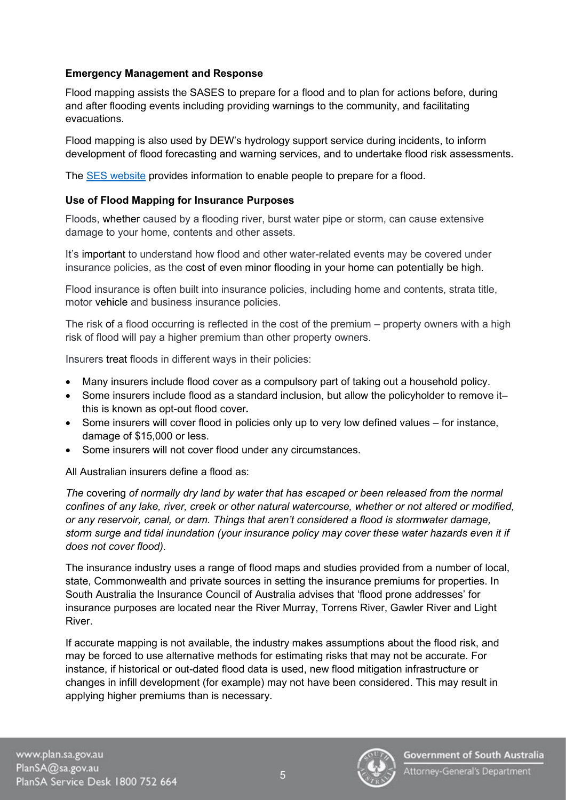#### **Emergency Management and Response**

Flood mapping assists the SASES to prepare for a flood and to plan for actions before, during and after flooding events including providing warnings to the community, and facilitating evacuations.

Flood mapping is also used by DEW's hydrology support service during incidents, to inform development of flood forecasting and warning services, and to undertake flood risk assessments.

The [SES website](https://www.ses.sa.gov.au/flood/) provides information to enable people to prepare for a flood.

#### **Use of Flood Mapping for Insurance Purposes**

Floods, whether caused by a flooding river, burst water pipe or storm, can cause extensive damage to your home, contents and other assets.

It's important to understand how flood and other water-related events may be covered under insurance policies, as the cost of even minor flooding in your home can potentially be high.

Flood insurance is often built into insurance policies, including home and contents, strata title, motor vehicle and business insurance policies.

The risk of a flood occurring is reflected in the cost of the premium – property owners with a high risk of flood will pay a higher premium than other property owners.

Insurers treat floods in different ways in their policies:

- Many insurers include flood cover as a compulsory part of taking out a household policy.
- Some insurers include flood as a standard inclusion, but allow the policyholder to remove it– this is known as opt-out flood cover**.**
- Some insurers will cover flood in policies only up to very low defined values for instance, damage of \$15,000 or less.
- Some insurers will not cover flood under any circumstances.

All Australian insurers define a flood as:

*The* covering *of normally dry land by water that has escaped or been released from the normal confines of any lake, river, creek or other natural watercourse, whether or not altered or modified, or any reservoir, canal, or dam. Things that aren't considered a flood is stormwater damage, storm surge and tidal inundation (your insurance policy may cover these water hazards even it if does not cover flood).*

The insurance industry uses a range of flood maps and studies provided from a number of local, state, Commonwealth and private sources in setting the insurance premiums for properties. In South Australia the Insurance Council of Australia advises that 'flood prone addresses' for insurance purposes are located near the River Murray, Torrens River, Gawler River and Light River.

If accurate mapping is not available, the industry makes assumptions about the flood risk, and may be forced to use alternative methods for estimating risks that may not be accurate. For instance, if historical or out-dated flood data is used, new flood mitigation infrastructure or changes in infill development (for example) may not have been considered. This may result in applying higher premiums than is necessary.

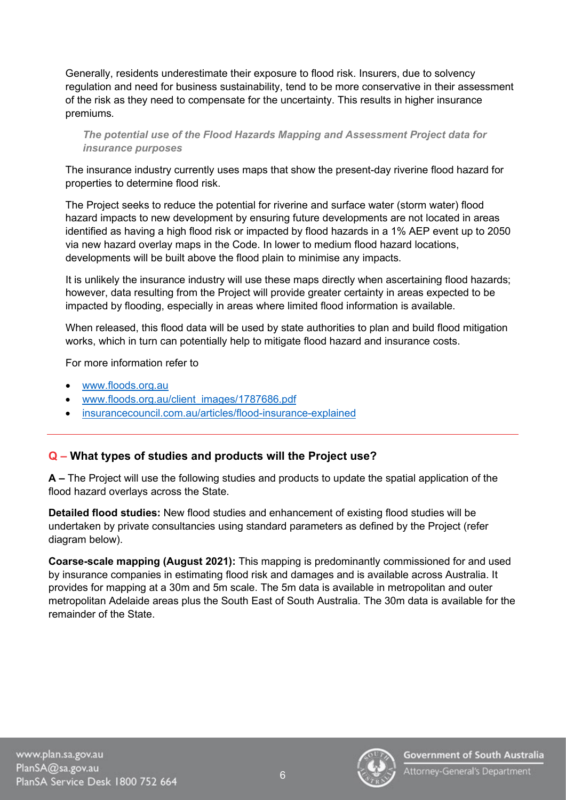Generally, residents underestimate their exposure to flood risk. Insurers, due to solvency regulation and need for business sustainability, tend to be more conservative in their assessment of the risk as they need to compensate for the uncertainty. This results in higher insurance premiums*.*

*The potential use of the Flood Hazards Mapping and Assessment Project data for insurance purposes* 

The insurance industry currently uses maps that show the present-day riverine flood hazard for properties to determine flood risk.

The Project seeks to reduce the potential for riverine and surface water (storm water) flood hazard impacts to new development by ensuring future developments are not located in areas identified as having a high flood risk or impacted by flood hazards in a 1% AEP event up to 2050 via new hazard overlay maps in the Code. In lower to medium flood hazard locations, developments will be built above the flood plain to minimise any impacts.

It is unlikely the insurance industry will use these maps directly when ascertaining flood hazards; however, data resulting from the Project will provide greater certainty in areas expected to be impacted by flooding, especially in areas where limited flood information is available.

When released, this flood data will be used by state authorities to plan and build flood mitigation works, which in turn can potentially help to mitigate flood hazard and insurance costs.

For more information refer to

- [www.floods.org.au](http://www.floods.org.au/)
- [www.floods.org.au/client\\_images/1787686.pdf](http://www.floods.org.au/client_images/1787686.pdf)
- [insurancecouncil.com.au/articles/flood-insurance-explained](https://insurancecouncil.com.au/articles/flood-insurance-explained/)

#### **Q – What types of studies and products will the Project use?**

**A –** The Project will use the following studies and products to update the spatial application of the flood hazard overlays across the State.

**Detailed flood studies:** New flood studies and enhancement of existing flood studies will be undertaken by private consultancies using standard parameters as defined by the Project (refer diagram below).

**Coarse-scale mapping (August 2021):** This mapping is predominantly commissioned for and used by insurance companies in estimating flood risk and damages and is available across Australia. It provides for mapping at a 30m and 5m scale. The 5m data is available in metropolitan and outer metropolitan Adelaide areas plus the South East of South Australia. The 30m data is available for the remainder of the State.

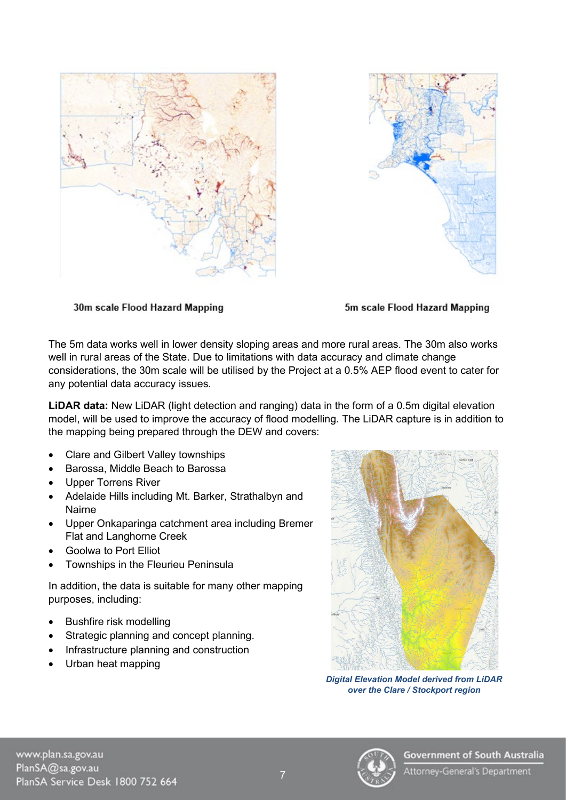



30m scale Flood Hazard Mapping

5m scale Flood Hazard Mapping

The 5m data works well in lower density sloping areas and more rural areas. The 30m also works well in rural areas of the State. Due to limitations with data accuracy and climate change considerations, the 30m scale will be utilised by the Project at a 0.5% AEP flood event to cater for any potential data accuracy issues.

**LiDAR data:** New LiDAR (light detection and ranging) data in the form of a 0.5m digital elevation model, will be used to improve the accuracy of flood modelling. The LiDAR capture is in addition to the mapping being prepared through the DEW and covers:

- Clare and Gilbert Valley townships
- Barossa, Middle Beach to Barossa
- Upper Torrens River
- Adelaide Hills including Mt. Barker, Strathalbyn and Nairne
- Upper Onkaparinga catchment area including Bremer Flat and Langhorne Creek
- Goolwa to Port Elliot
- Townships in the Fleurieu Peninsula

In addition, the data is suitable for many other mapping purposes, including:

- Bushfire risk modelling
- Strategic planning and concept planning.
- Infrastructure planning and construction
- Urban heat mapping



*Digital Elevation Model derived from LiDAR over the Clare / Stockport region*

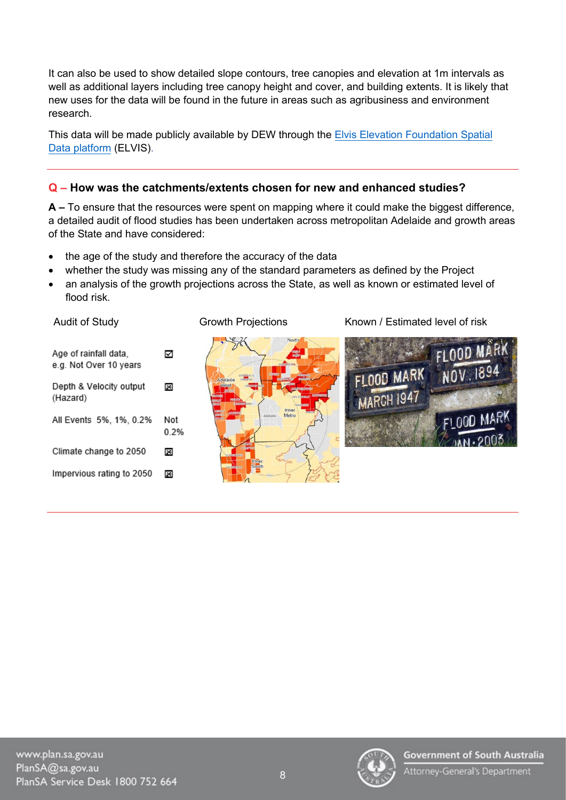It can also be used to show detailed slope contours, tree canopies and elevation at 1m intervals as well as additional layers including tree canopy height and cover, and building extents. It is likely that new uses for the data will be found in the future in areas such as agribusiness and environment research.

This data will be made publicly available by DEW through the **Elvis Elevation Foundation Spatial** [Data platform](https://elevation.fsdf.org.au/) (ELVIS).

#### **Q – How was the catchments/extents chosen for new and enhanced studies?**

**A –** To ensure that the resources were spent on mapping where it could make the biggest difference, a detailed audit of flood studies has been undertaken across metropolitan Adelaide and growth areas of the State and have considered:

- the age of the study and therefore the accuracy of the data
- whether the study was missing any of the standard parameters as defined by the Project
- an analysis of the growth projections across the State, as well as known or estimated level of flood risk.



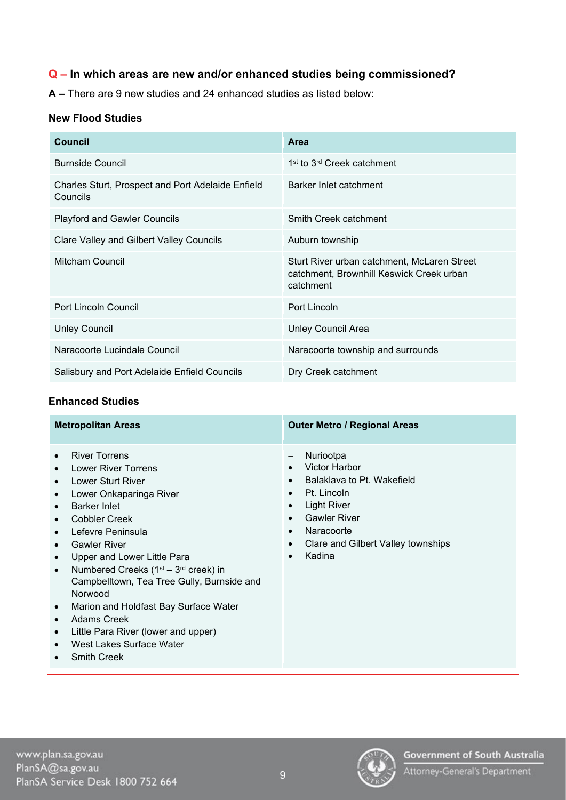## **Q – In which areas are new and/or enhanced studies being commissioned?**

**A –** There are 9 new studies and 24 enhanced studies as listed below:

#### **New Flood Studies**

| <b>Council</b>                                                       | <b>Area</b>                                                                                          |
|----------------------------------------------------------------------|------------------------------------------------------------------------------------------------------|
| <b>Burnside Council</b>                                              | 1 <sup>st</sup> to 3 <sup>rd</sup> Creek catchment                                                   |
| <b>Charles Sturt, Prospect and Port Adelaide Enfield</b><br>Councils | Barker Inlet catchment                                                                               |
| <b>Playford and Gawler Councils</b>                                  | Smith Creek catchment                                                                                |
| Clare Valley and Gilbert Valley Councils                             | Auburn township                                                                                      |
| Mitcham Council                                                      | Sturt River urban catchment, McLaren Street<br>catchment, Brownhill Keswick Creek urban<br>catchment |
| <b>Port Lincoln Council</b>                                          | Port Lincoln                                                                                         |
| <b>Unley Council</b>                                                 | <b>Unley Council Area</b>                                                                            |
| Naracoorte Lucindale Council                                         | Naracoorte township and surrounds                                                                    |
| Salisbury and Port Adelaide Enfield Councils                         | Dry Creek catchment                                                                                  |

#### **Enhanced Studies**

| <b>Metropolitan Areas</b>                                                                                                                                                                                                                                                                                                                                                                                                                                                                                                                                        | <b>Outer Metro / Regional Areas</b>                                                                                                                                                                                                                                                                                    |
|------------------------------------------------------------------------------------------------------------------------------------------------------------------------------------------------------------------------------------------------------------------------------------------------------------------------------------------------------------------------------------------------------------------------------------------------------------------------------------------------------------------------------------------------------------------|------------------------------------------------------------------------------------------------------------------------------------------------------------------------------------------------------------------------------------------------------------------------------------------------------------------------|
| <b>River Torrens</b><br>$\bullet$<br><b>Lower River Torrens</b><br>٠<br>Lower Sturt River<br>$\bullet$<br>Lower Onkaparinga River<br>٠<br>Barker Inlet<br><b>Cobbler Creek</b><br>Lefevre Peninsula<br><b>Gawler River</b><br>Upper and Lower Little Para<br>$\bullet$<br>Numbered Creeks $(1st - 3rd$ creek) in<br>$\bullet$<br>Campbelltown, Tea Tree Gully, Burnside and<br>Norwood<br>Marion and Holdfast Bay Surface Water<br>$\bullet$<br><b>Adams Creek</b><br>Little Para River (lower and upper)<br>٠<br>West Lakes Surface Water<br><b>Smith Creek</b> | Nuriootpa<br>$\overline{\phantom{m}}$<br>Victor Harbor<br>$\bullet$<br>Balaklava to Pt. Wakefield<br>$\bullet$<br>Pt. Lincoln<br>$\bullet$<br><b>Light River</b><br>$\bullet$<br><b>Gawler River</b><br>$\bullet$<br>Naracoorte<br>$\bullet$<br>Clare and Gilbert Valley townships<br>$\bullet$<br>Kadina<br>$\bullet$ |

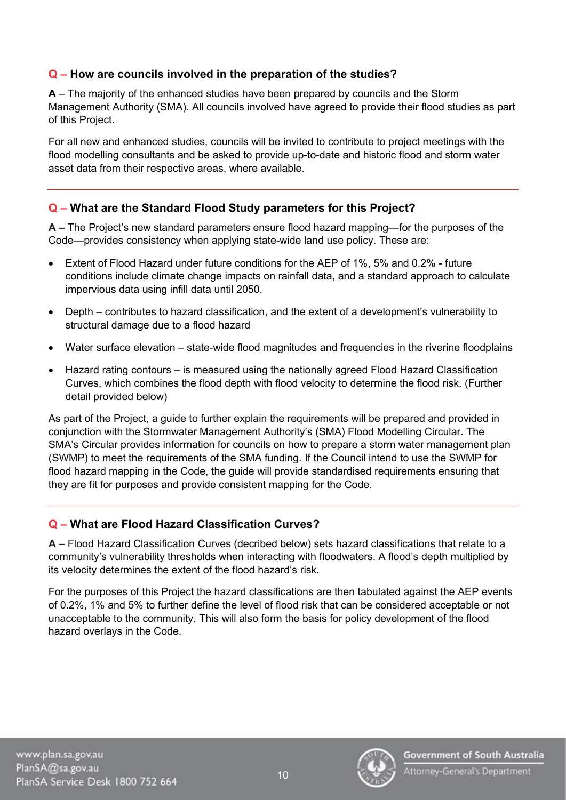#### **Q – How are councils involved in the preparation of the studies?**

**A** – The majority of the enhanced studies have been prepared by councils and the Storm Management Authority (SMA). All councils involved have agreed to provide their flood studies as part of this Project.

For all new and enhanced studies, councils will be invited to contribute to project meetings with the flood modelling consultants and be asked to provide up-to-date and historic flood and storm water asset data from their respective areas, where available.

#### **Q – What are the Standard Flood Study parameters for this Project?**

**A –** The Project's new standard parameters ensure flood hazard mapping—for the purposes of the Code—provides consistency when applying state-wide land use policy. These are:

- Extent of Flood Hazard under future conditions for the AEP of 1%, 5% and 0.2% future conditions include climate change impacts on rainfall data, and a standard approach to calculate impervious data using infill data until 2050.
- Depth contributes to hazard classification, and the extent of a development's vulnerability to structural damage due to a flood hazard
- Water surface elevation state-wide flood magnitudes and frequencies in the riverine floodplains
- Hazard rating contours is measured using the nationally agreed Flood Hazard Classification Curves, which combines the flood depth with flood velocity to determine the flood risk. (Further detail provided below)

As part of the Project, a guide to further explain the requirements will be prepared and provided in conjunction with the Stormwater Management Authority's (SMA) Flood Modelling Circular. The SMA's Circular provides information for councils on how to prepare a storm water management plan (SWMP) to meet the requirements of the SMA funding. If the Council intend to use the SWMP for flood hazard mapping in the Code, the guide will provide standardised requirements ensuring that they are fit for purposes and provide consistent mapping for the Code.

#### **Q – What are Flood Hazard Classification Curves?**

**A –** Flood Hazard Classification Curves (decribed below) sets hazard classifications that relate to a community's vulnerability thresholds when interacting with floodwaters. A flood's depth multiplied by its velocity determines the extent of the flood hazard's risk.

For the purposes of this Project the hazard classifications are then tabulated against the AEP events of 0.2%, 1% and 5% to further define the level of flood risk that can be considered acceptable or not unacceptable to the community. This will also form the basis for policy development of the flood hazard overlays in the Code.

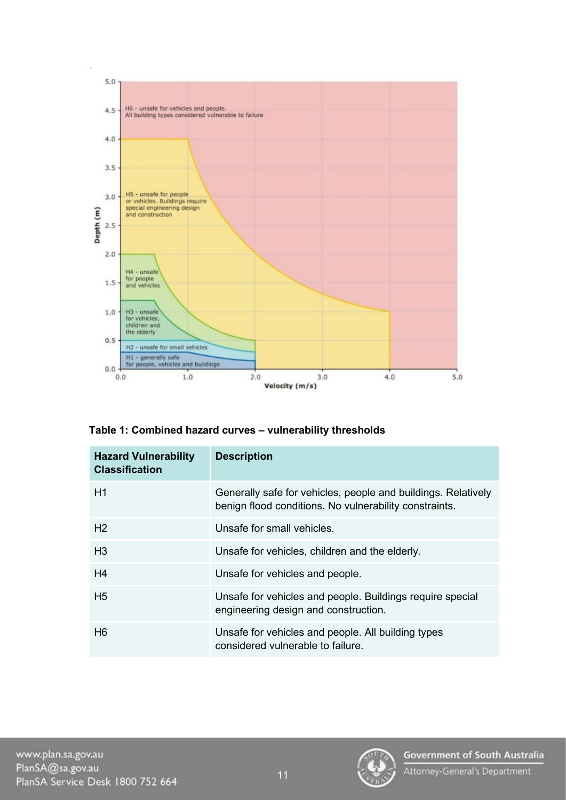

|  | Table 1: Combined hazard curves - vulnerability thresholds |  |  |  |  |
|--|------------------------------------------------------------|--|--|--|--|
|--|------------------------------------------------------------|--|--|--|--|

| <b>Hazard Vulnerability</b><br><b>Classification</b> | <b>Description</b>                                                                                                      |
|------------------------------------------------------|-------------------------------------------------------------------------------------------------------------------------|
| H1                                                   | Generally safe for vehicles, people and buildings. Relatively<br>benign flood conditions. No vulnerability constraints. |
| H <sub>2</sub>                                       | Unsafe for small vehicles.                                                                                              |
| H3                                                   | Unsafe for vehicles, children and the elderly.                                                                          |
| H <sub>4</sub>                                       | Unsafe for vehicles and people.                                                                                         |
| H <sub>5</sub>                                       | Unsafe for vehicles and people. Buildings require special<br>engineering design and construction.                       |
| H <sub>6</sub>                                       | Unsafe for vehicles and people. All building types<br>considered vulnerable to failure                                  |